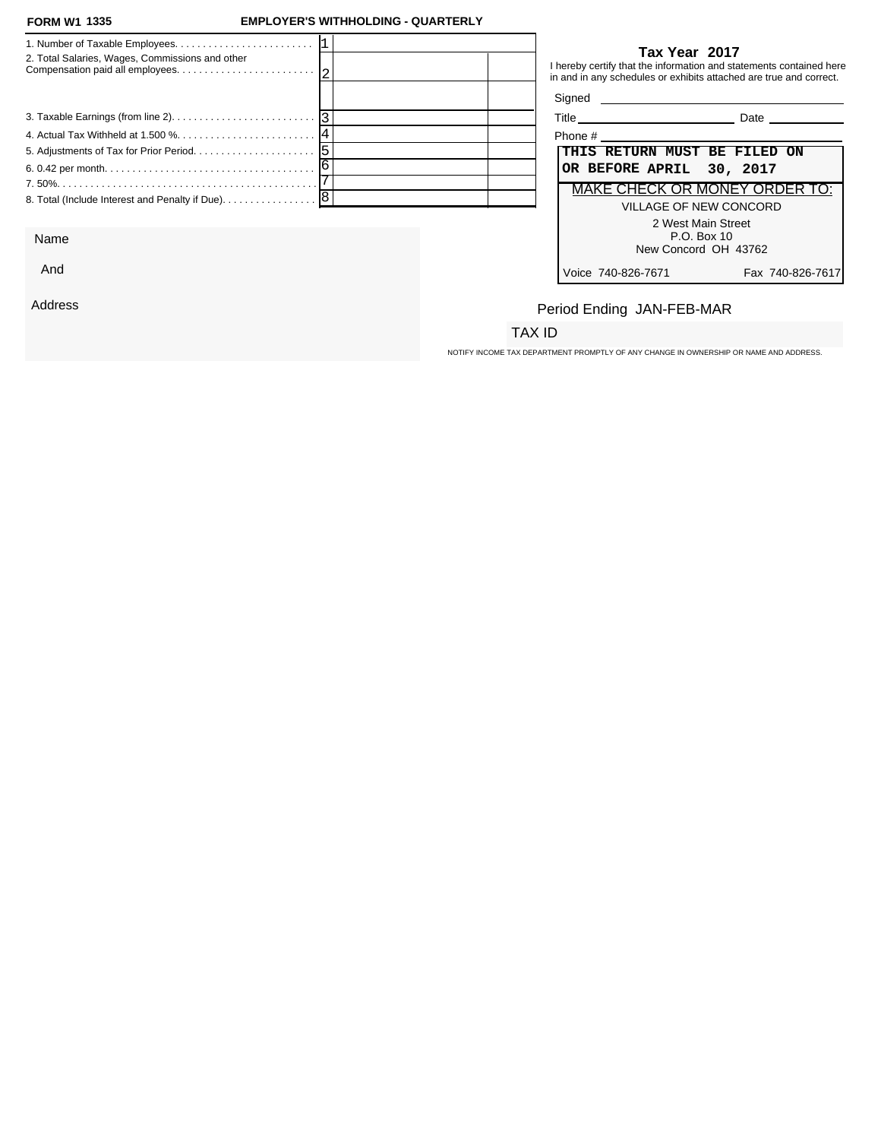#### **FORM W1 1335**

### **FORM W1 EMPLOYER'S WITHHOLDING - QUARTERLY**

| 2. Total Salaries, Wages, Commissions and other   |  |                      | Tax Year 2017<br>I hereby certify that the information and statements contained here<br>in and in any schedules or exhibits attached are true and correct. |
|---------------------------------------------------|--|----------------------|------------------------------------------------------------------------------------------------------------------------------------------------------------|
|                                                   |  | Signed <b>Signed</b> |                                                                                                                                                            |
|                                                   |  |                      | <b>Date Date</b>                                                                                                                                           |
|                                                   |  |                      |                                                                                                                                                            |
|                                                   |  |                      | THIS RETURN MUST BE FILED ON                                                                                                                               |
|                                                   |  |                      | OR BEFORE APRIL 30, 2017                                                                                                                                   |
|                                                   |  |                      | MAKE CHECK OR MONEY ORDER TO:                                                                                                                              |
| 8. Total (Include Interest and Penalty if Due). 8 |  |                      | VILLAGE OF NEW CONCORD                                                                                                                                     |
|                                                   |  |                      | 2 West Main Street                                                                                                                                         |

Name

And

Address

### **Tax Year 2017**

| Phone #                                |  |  |
|----------------------------------------|--|--|
| THIS RETURN MUST BE FILED ON           |  |  |
| OR BEFORE APRIL 30, 2017               |  |  |
| <b>MAKE CHECK OR MONEY ORDER TO:</b>   |  |  |
| VILLAGE OF NEW CONCORD                 |  |  |
| 2 West Main Street                     |  |  |
| $P.O.$ Box 10                          |  |  |
| New Concord OH 43762                   |  |  |
| Voice 740-826-7671<br>Fax 740-826-7617 |  |  |

# Period Ending JAN-FEB-MAR

## TAX ID

NOTIFY INCOME TAX DEPARTMENT PROMPTLY OF ANY CHANGE IN OWNERSHIP OR NAME AND ADDRESS.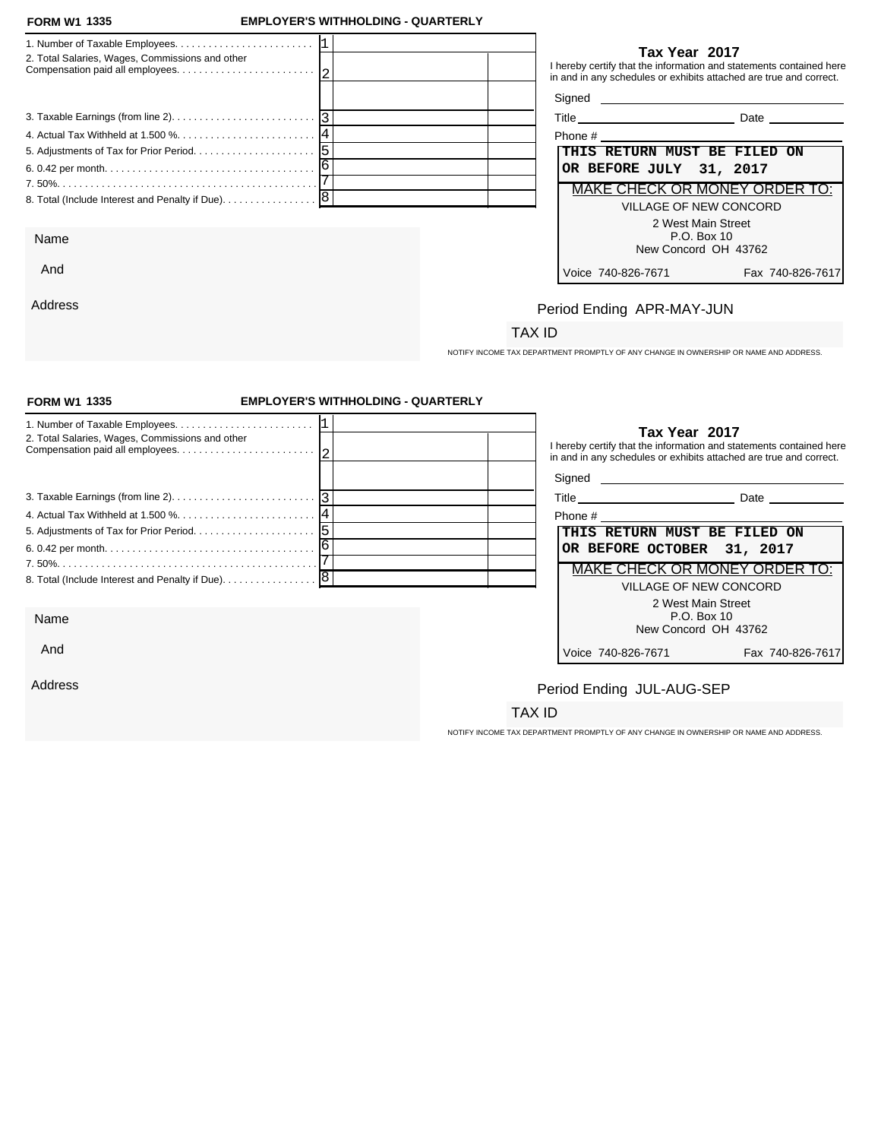#### **FORM W1 1335**

And

Address

### **FORM W1 EMPLOYER'S WITHHOLDING - QUARTERLY**

| 2. Total Salaries, Wages, Commissions and other | Tax Year 2017<br>I hereby certify that the information and statements contained here<br>in and in any schedules or exhibits attached are true and correct. |
|-------------------------------------------------|------------------------------------------------------------------------------------------------------------------------------------------------------------|
|                                                 |                                                                                                                                                            |
|                                                 | Date                                                                                                                                                       |
|                                                 | Phone #                                                                                                                                                    |
|                                                 | THIS RETURN MUST BE FILED ON                                                                                                                               |
|                                                 | OR BEFORE JULY 31, 2017                                                                                                                                    |
|                                                 | MAKE CHECK OR MONEY ORDER TO:                                                                                                                              |
|                                                 | VILLAGE OF NEW CONCORD                                                                                                                                     |
|                                                 | 2 West Main Street                                                                                                                                         |
| Name                                            | P.O. Box 10                                                                                                                                                |

### **Tax Year 2017**

| Phone #                              |                  |  |  |
|--------------------------------------|------------------|--|--|
| THIS RETURN MUST BE FILED ON         |                  |  |  |
| OR BEFORE JULY 31, 2017              |                  |  |  |
| <b>MAKE CHECK OR MONEY ORDER TO:</b> |                  |  |  |
| VILLAGE OF NEW CONCORD               |                  |  |  |
| 2 West Main Street                   |                  |  |  |
| P.O. Box 10                          |                  |  |  |
| New Concord OH 43762                 |                  |  |  |
| Voice 740-826-7671                   | Fax 740-826-7617 |  |  |

# Period Ending APR-MAY-JUN

## TAX ID

NOTIFY INCOME TAX DEPARTMENT PROMPTLY OF ANY CHANGE IN OWNERSHIP OR NAME AND ADDRESS.

| <b>FORM W1 1335</b>                             | <b>EMPLOYER'S WITHHOLDING - QUARTERLY</b> |                                                                                       |                                                                                                                                           |  |
|-------------------------------------------------|-------------------------------------------|---------------------------------------------------------------------------------------|-------------------------------------------------------------------------------------------------------------------------------------------|--|
| 2. Total Salaries, Wages, Commissions and other |                                           | Tax Year 2017                                                                         | I hereby certify that the information and statements contained here<br>in and in any schedules or exhibits attached are true and correct. |  |
|                                                 |                                           |                                                                                       |                                                                                                                                           |  |
|                                                 |                                           |                                                                                       | Title Date Date                                                                                                                           |  |
|                                                 |                                           | Phone #                                                                               |                                                                                                                                           |  |
|                                                 |                                           |                                                                                       | THIS RETURN MUST BE FILED ON                                                                                                              |  |
|                                                 |                                           |                                                                                       | OR BEFORE OCTOBER<br>31, 2017                                                                                                             |  |
|                                                 |                                           |                                                                                       | <b>MAKE CHECK OR MONEY ORDER TO:</b>                                                                                                      |  |
|                                                 |                                           |                                                                                       | VILLAGE OF NEW CONCORD                                                                                                                    |  |
| Name                                            |                                           |                                                                                       | 2 West Main Street<br>P.O. Box 10<br>New Concord OH 43762                                                                                 |  |
| And                                             |                                           | Voice 740-826-7671                                                                    | Fax 740-826-7617                                                                                                                          |  |
| Address                                         |                                           | Period Ending JUL-AUG-SEP                                                             |                                                                                                                                           |  |
|                                                 |                                           | TAX ID                                                                                |                                                                                                                                           |  |
|                                                 |                                           | NOTIFY INCOME TAX DEPARTMENT PROMPTLY OF ANY CHANGE IN OWNERSHIP OR NAME AND ADDRESS. |                                                                                                                                           |  |